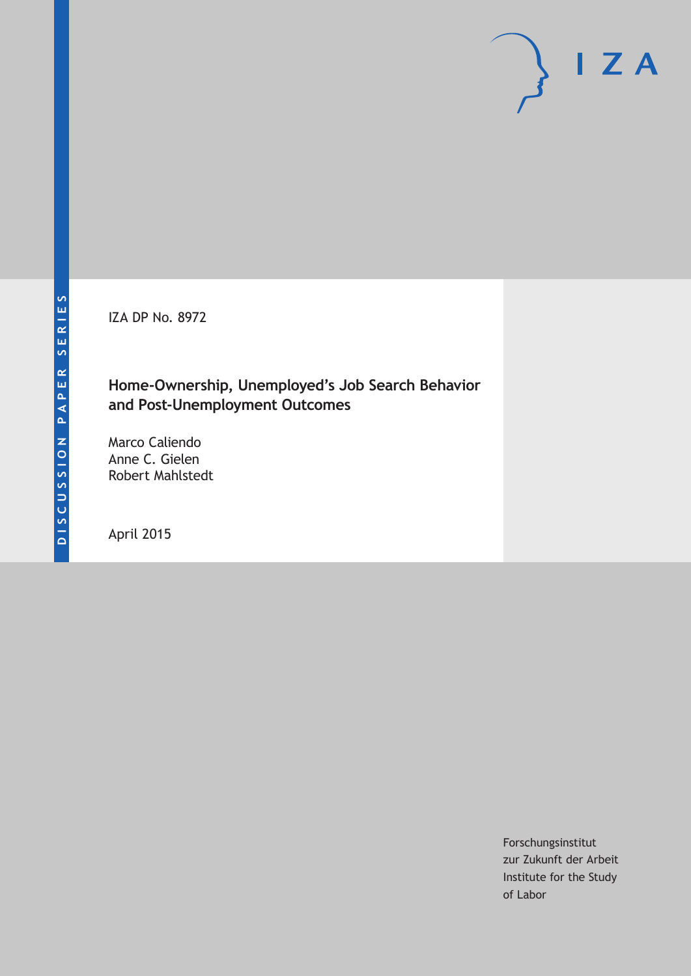IZA DP No. 8972

#### **Home-Ownership, Unemployed's Job Search Behavior and Post-Unemployment Outcomes**

Marco Caliendo Anne C. Gielen Robert Mahlstedt

April 2015

Forschungsinstitut zur Zukunft der Arbeit Institute for the Study of Labor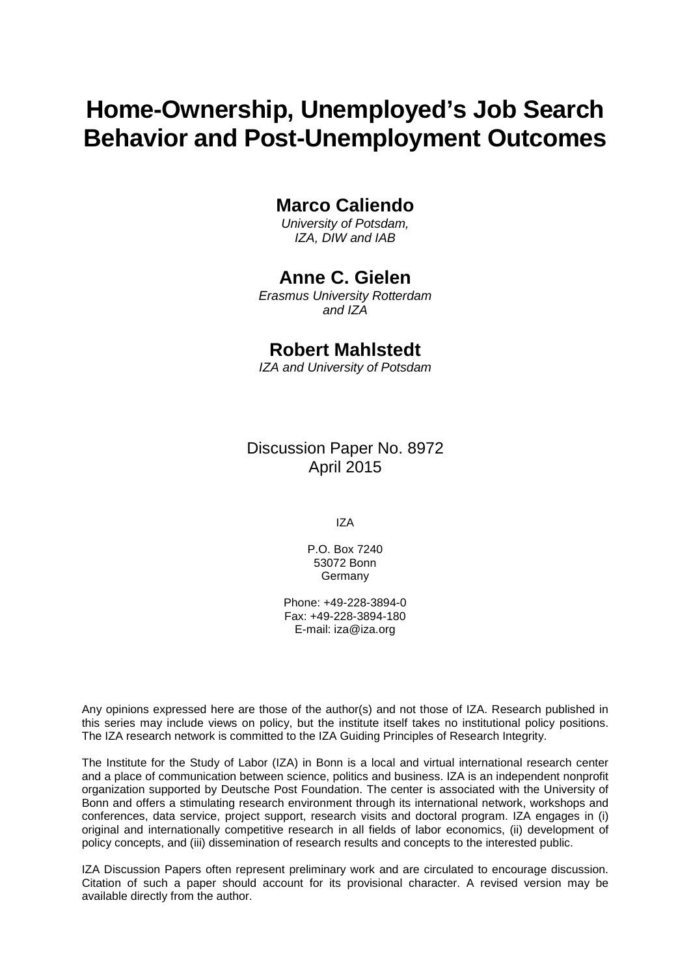# **Home-Ownership, Unemployed's Job Search Behavior and Post-Unemployment Outcomes**

#### **Marco Caliendo**

*University of Potsdam, IZA, DIW and IAB*

#### **Anne C. Gielen**

*Erasmus University Rotterdam and IZA*

#### **Robert Mahlstedt**

*IZA and University of Potsdam*

Discussion Paper No. 8972 April 2015

IZA

P.O. Box 7240 53072 Bonn **Germany** 

Phone: +49-228-3894-0 Fax: +49-228-3894-180 E-mail: iza@iza.org

Any opinions expressed here are those of the author(s) and not those of IZA. Research published in this series may include views on policy, but the institute itself takes no institutional policy positions. The IZA research network is committed to the IZA Guiding Principles of Research Integrity.

The Institute for the Study of Labor (IZA) in Bonn is a local and virtual international research center and a place of communication between science, politics and business. IZA is an independent nonprofit organization supported by Deutsche Post Foundation. The center is associated with the University of Bonn and offers a stimulating research environment through its international network, workshops and conferences, data service, project support, research visits and doctoral program. IZA engages in (i) original and internationally competitive research in all fields of labor economics, (ii) development of policy concepts, and (iii) dissemination of research results and concepts to the interested public.

<span id="page-1-0"></span>IZA Discussion Papers often represent preliminary work and are circulated to encourage discussion. Citation of such a paper should account for its provisional character. A revised version may be available directly from the author.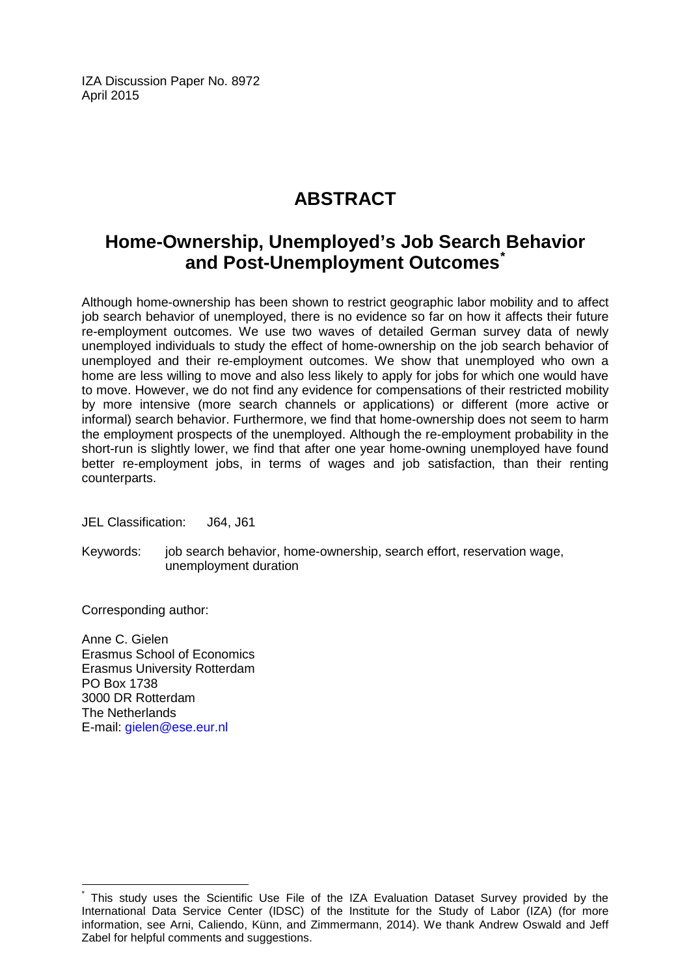IZA Discussion Paper No. 8972 April 2015

## **ABSTRACT**

### **Home-Ownership, Unemployed's Job Search Behavior and Post-Unemployment Outcomes[\\*](#page-1-0)**

Although home-ownership has been shown to restrict geographic labor mobility and to affect job search behavior of unemployed, there is no evidence so far on how it affects their future re-employment outcomes. We use two waves of detailed German survey data of newly unemployed individuals to study the effect of home-ownership on the job search behavior of unemployed and their re-employment outcomes. We show that unemployed who own a home are less willing to move and also less likely to apply for jobs for which one would have to move. However, we do not find any evidence for compensations of their restricted mobility by more intensive (more search channels or applications) or different (more active or informal) search behavior. Furthermore, we find that home-ownership does not seem to harm the employment prospects of the unemployed. Although the re-employment probability in the short-run is slightly lower, we find that after one year home-owning unemployed have found better re-employment jobs, in terms of wages and job satisfaction, than their renting counterparts.

JEL Classification: J64, J61

Keywords: job search behavior, home-ownership, search effort, reservation wage, unemployment duration

Corresponding author:

Anne C. Gielen Erasmus School of Economics Erasmus University Rotterdam PO Box 1738 3000 DR Rotterdam The Netherlands E-mail: [gielen@ese.eur.nl](mailto:gielen@ese.eur.nl)

This study uses the Scientific Use File of the IZA Evaluation Dataset Survey provided by the International Data Service Center (IDSC) of the Institute for the Study of Labor (IZA) (for more information, see Arni, Caliendo, Künn, and Zimmermann, 2014). We thank Andrew Oswald and Jeff Zabel for helpful comments and suggestions.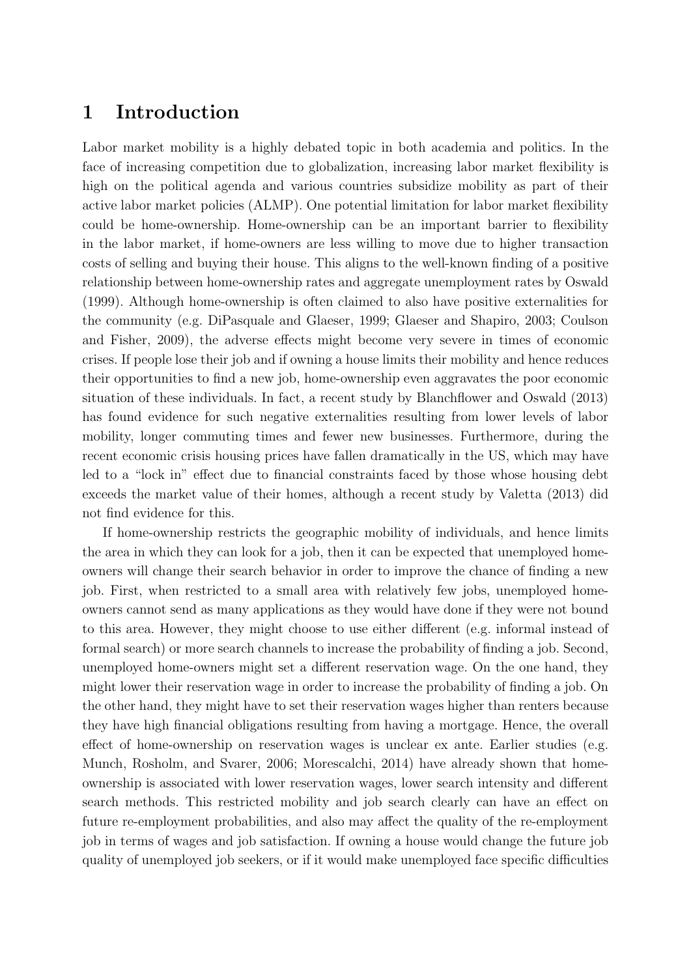#### 1 Introduction

Labor market mobility is a highly debated topic in both academia and politics. In the face of increasing competition due to globalization, increasing labor market flexibility is high on the political agenda and various countries subsidize mobility as part of their active labor market policies (ALMP). One potential limitation for labor market flexibility could be home-ownership. Home-ownership can be an important barrier to flexibility in the labor market, if home-owners are less willing to move due to higher transaction costs of selling and buying their house. This aligns to the well-known finding of a positive relationship between home-ownership rates and aggregate unemployment rates by Oswald (1999). Although home-ownership is often claimed to also have positive externalities for the community (e.g. DiPasquale and Glaeser, 1999; Glaeser and Shapiro, 2003; Coulson and Fisher, 2009), the adverse effects might become very severe in times of economic crises. If people lose their job and if owning a house limits their mobility and hence reduces their opportunities to find a new job, home-ownership even aggravates the poor economic situation of these individuals. In fact, a recent study by Blanchflower and Oswald (2013) has found evidence for such negative externalities resulting from lower levels of labor mobility, longer commuting times and fewer new businesses. Furthermore, during the recent economic crisis housing prices have fallen dramatically in the US, which may have led to a "lock in" effect due to financial constraints faced by those whose housing debt exceeds the market value of their homes, although a recent study by Valetta (2013) did not find evidence for this.

If home-ownership restricts the geographic mobility of individuals, and hence limits the area in which they can look for a job, then it can be expected that unemployed homeowners will change their search behavior in order to improve the chance of finding a new job. First, when restricted to a small area with relatively few jobs, unemployed homeowners cannot send as many applications as they would have done if they were not bound to this area. However, they might choose to use either different (e.g. informal instead of formal search) or more search channels to increase the probability of finding a job. Second, unemployed home-owners might set a different reservation wage. On the one hand, they might lower their reservation wage in order to increase the probability of finding a job. On the other hand, they might have to set their reservation wages higher than renters because they have high financial obligations resulting from having a mortgage. Hence, the overall effect of home-ownership on reservation wages is unclear ex ante. Earlier studies (e.g. Munch, Rosholm, and Svarer, 2006; Morescalchi, 2014) have already shown that homeownership is associated with lower reservation wages, lower search intensity and different search methods. This restricted mobility and job search clearly can have an effect on future re-employment probabilities, and also may affect the quality of the re-employment job in terms of wages and job satisfaction. If owning a house would change the future job quality of unemployed job seekers, or if it would make unemployed face specific difficulties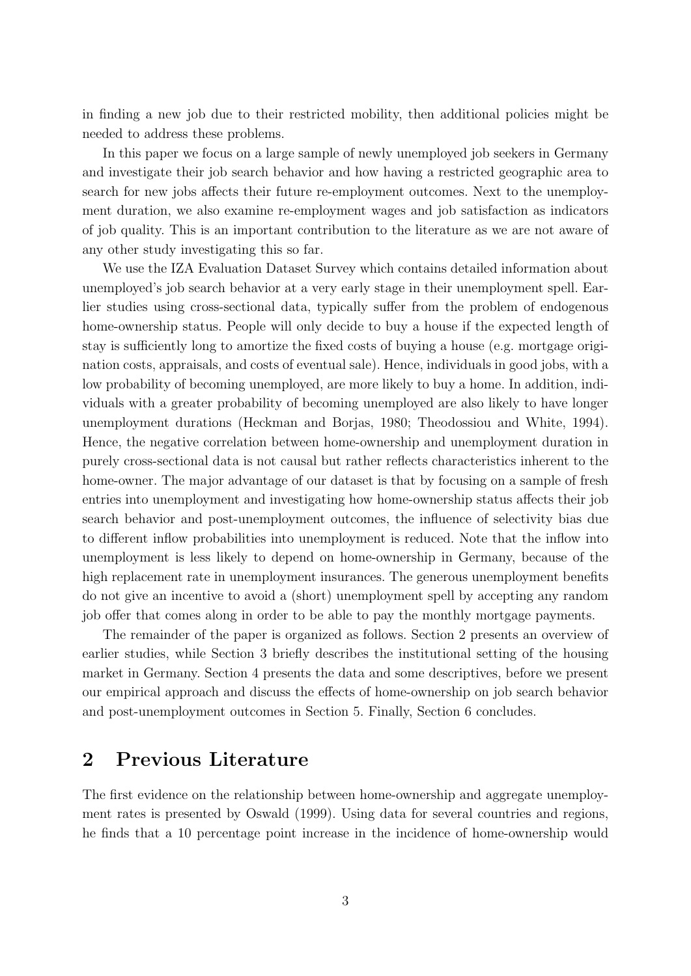in finding a new job due to their restricted mobility, then additional policies might be needed to address these problems.

In this paper we focus on a large sample of newly unemployed job seekers in Germany and investigate their job search behavior and how having a restricted geographic area to search for new jobs affects their future re-employment outcomes. Next to the unemployment duration, we also examine re-employment wages and job satisfaction as indicators of job quality. This is an important contribution to the literature as we are not aware of any other study investigating this so far.

We use the IZA Evaluation Dataset Survey which contains detailed information about unemployed's job search behavior at a very early stage in their unemployment spell. Earlier studies using cross-sectional data, typically suffer from the problem of endogenous home-ownership status. People will only decide to buy a house if the expected length of stay is sufficiently long to amortize the fixed costs of buying a house (e.g. mortgage origination costs, appraisals, and costs of eventual sale). Hence, individuals in good jobs, with a low probability of becoming unemployed, are more likely to buy a home. In addition, individuals with a greater probability of becoming unemployed are also likely to have longer unemployment durations (Heckman and Borjas, 1980; Theodossiou and White, 1994). Hence, the negative correlation between home-ownership and unemployment duration in purely cross-sectional data is not causal but rather reflects characteristics inherent to the home-owner. The major advantage of our dataset is that by focusing on a sample of fresh entries into unemployment and investigating how home-ownership status affects their job search behavior and post-unemployment outcomes, the influence of selectivity bias due to different inflow probabilities into unemployment is reduced. Note that the inflow into unemployment is less likely to depend on home-ownership in Germany, because of the high replacement rate in unemployment insurances. The generous unemployment benefits do not give an incentive to avoid a (short) unemployment spell by accepting any random job offer that comes along in order to be able to pay the monthly mortgage payments.

The remainder of the paper is organized as follows. Section 2 presents an overview of earlier studies, while Section 3 briefly describes the institutional setting of the housing market in Germany. Section 4 presents the data and some descriptives, before we present our empirical approach and discuss the effects of home-ownership on job search behavior and post-unemployment outcomes in Section 5. Finally, Section 6 concludes.

#### 2 Previous Literature

The first evidence on the relationship between home-ownership and aggregate unemployment rates is presented by Oswald (1999). Using data for several countries and regions, he finds that a 10 percentage point increase in the incidence of home-ownership would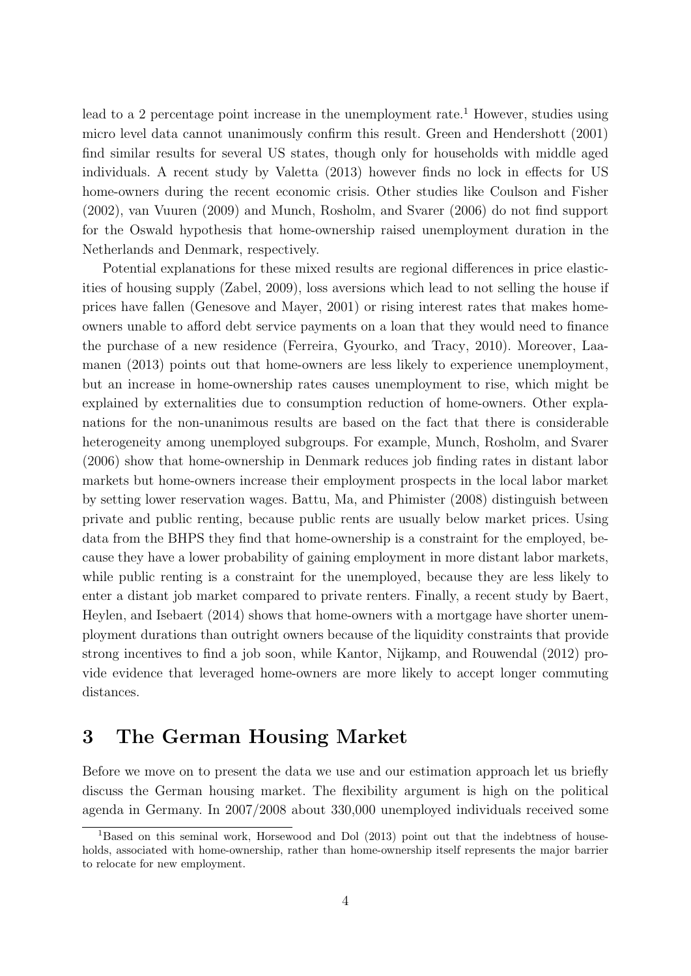lead to a 2 percentage point increase in the unemployment rate.<sup>1</sup> However, studies using micro level data cannot unanimously confirm this result. Green and Hendershott (2001) find similar results for several US states, though only for households with middle aged individuals. A recent study by Valetta (2013) however finds no lock in effects for US home-owners during the recent economic crisis. Other studies like Coulson and Fisher (2002), van Vuuren (2009) and Munch, Rosholm, and Svarer (2006) do not find support for the Oswald hypothesis that home-ownership raised unemployment duration in the Netherlands and Denmark, respectively.

Potential explanations for these mixed results are regional differences in price elasticities of housing supply (Zabel, 2009), loss aversions which lead to not selling the house if prices have fallen (Genesove and Mayer, 2001) or rising interest rates that makes homeowners unable to afford debt service payments on a loan that they would need to finance the purchase of a new residence (Ferreira, Gyourko, and Tracy, 2010). Moreover, Laamanen (2013) points out that home-owners are less likely to experience unemployment, but an increase in home-ownership rates causes unemployment to rise, which might be explained by externalities due to consumption reduction of home-owners. Other explanations for the non-unanimous results are based on the fact that there is considerable heterogeneity among unemployed subgroups. For example, Munch, Rosholm, and Svarer (2006) show that home-ownership in Denmark reduces job finding rates in distant labor markets but home-owners increase their employment prospects in the local labor market by setting lower reservation wages. Battu, Ma, and Phimister (2008) distinguish between private and public renting, because public rents are usually below market prices. Using data from the BHPS they find that home-ownership is a constraint for the employed, because they have a lower probability of gaining employment in more distant labor markets, while public renting is a constraint for the unemployed, because they are less likely to enter a distant job market compared to private renters. Finally, a recent study by Baert, Heylen, and Isebaert (2014) shows that home-owners with a mortgage have shorter unemployment durations than outright owners because of the liquidity constraints that provide strong incentives to find a job soon, while Kantor, Nijkamp, and Rouwendal (2012) provide evidence that leveraged home-owners are more likely to accept longer commuting distances.

### 3 The German Housing Market

Before we move on to present the data we use and our estimation approach let us briefly discuss the German housing market. The flexibility argument is high on the political agenda in Germany. In 2007/2008 about 330,000 unemployed individuals received some

<sup>&</sup>lt;sup>1</sup>Based on this seminal work, Horsewood and Dol (2013) point out that the indebtness of households, associated with home-ownership, rather than home-ownership itself represents the major barrier to relocate for new employment.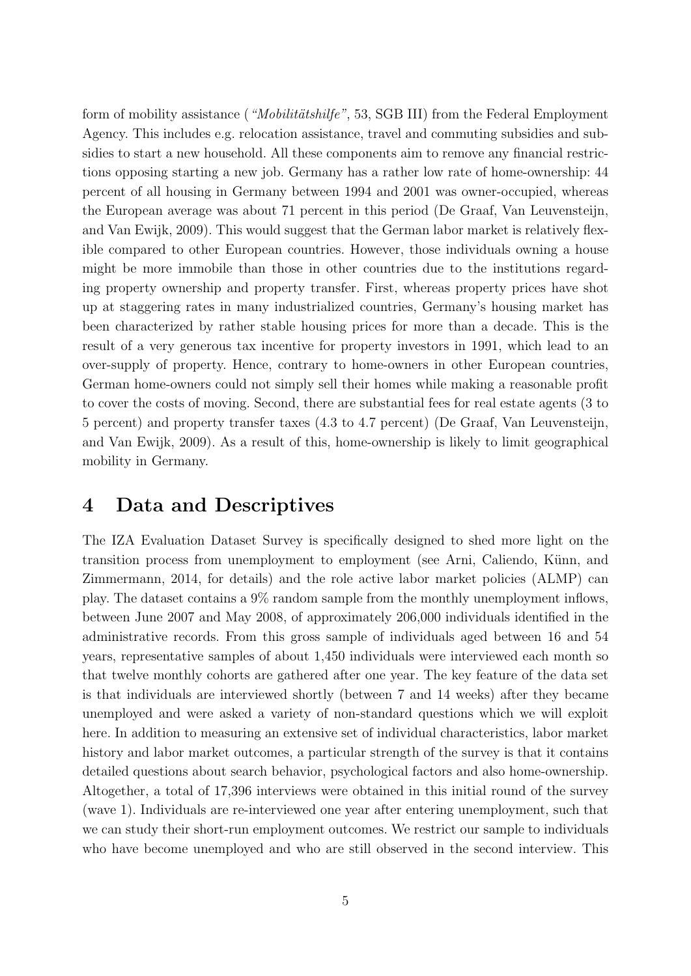form of mobility assistance ("Mobilitätshilfe", 53, SGB III) from the Federal Employment Agency. This includes e.g. relocation assistance, travel and commuting subsidies and subsidies to start a new household. All these components aim to remove any financial restrictions opposing starting a new job. Germany has a rather low rate of home-ownership: 44 percent of all housing in Germany between 1994 and 2001 was owner-occupied, whereas the European average was about 71 percent in this period (De Graaf, Van Leuvensteijn, and Van Ewijk, 2009). This would suggest that the German labor market is relatively flexible compared to other European countries. However, those individuals owning a house might be more immobile than those in other countries due to the institutions regarding property ownership and property transfer. First, whereas property prices have shot up at staggering rates in many industrialized countries, Germany's housing market has been characterized by rather stable housing prices for more than a decade. This is the result of a very generous tax incentive for property investors in 1991, which lead to an over-supply of property. Hence, contrary to home-owners in other European countries, German home-owners could not simply sell their homes while making a reasonable profit to cover the costs of moving. Second, there are substantial fees for real estate agents (3 to 5 percent) and property transfer taxes (4.3 to 4.7 percent) (De Graaf, Van Leuvensteijn, and Van Ewijk, 2009). As a result of this, home-ownership is likely to limit geographical mobility in Germany.

#### 4 Data and Descriptives

The IZA Evaluation Dataset Survey is specifically designed to shed more light on the transition process from unemployment to employment (see Arni, Caliendo, Künn, and Zimmermann, 2014, for details) and the role active labor market policies (ALMP) can play. The dataset contains a 9% random sample from the monthly unemployment inflows, between June 2007 and May 2008, of approximately 206,000 individuals identified in the administrative records. From this gross sample of individuals aged between 16 and 54 years, representative samples of about 1,450 individuals were interviewed each month so that twelve monthly cohorts are gathered after one year. The key feature of the data set is that individuals are interviewed shortly (between 7 and 14 weeks) after they became unemployed and were asked a variety of non-standard questions which we will exploit here. In addition to measuring an extensive set of individual characteristics, labor market history and labor market outcomes, a particular strength of the survey is that it contains detailed questions about search behavior, psychological factors and also home-ownership. Altogether, a total of 17,396 interviews were obtained in this initial round of the survey (wave 1). Individuals are re-interviewed one year after entering unemployment, such that we can study their short-run employment outcomes. We restrict our sample to individuals who have become unemployed and who are still observed in the second interview. This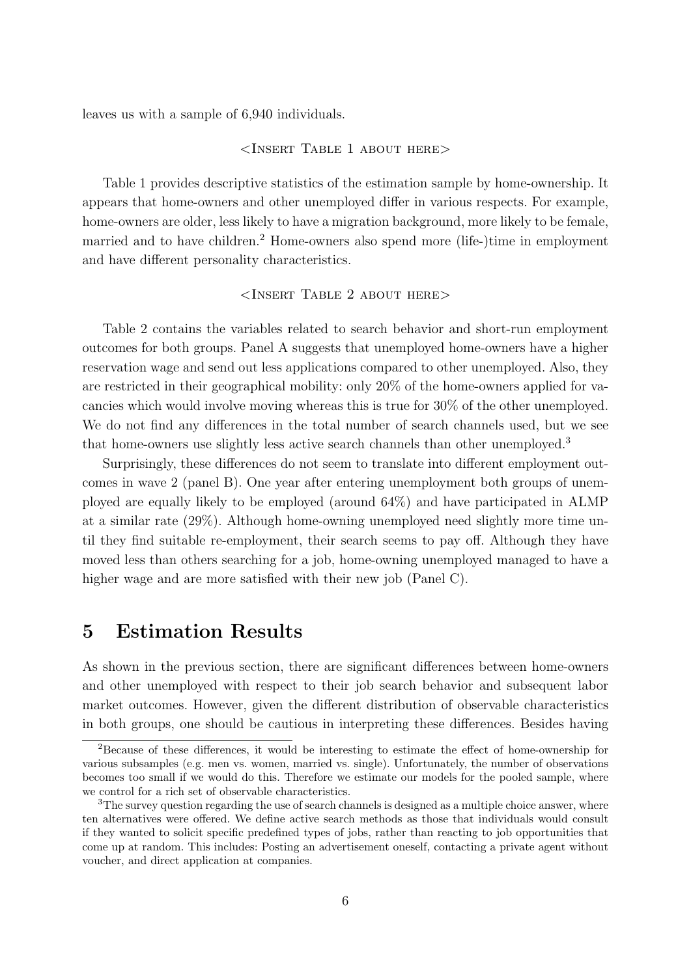leaves us with a sample of 6,940 individuals.

#### <Insert Table 1 about here>

Table 1 provides descriptive statistics of the estimation sample by home-ownership. It appears that home-owners and other unemployed differ in various respects. For example, home-owners are older, less likely to have a migration background, more likely to be female, married and to have children.<sup>2</sup> Home-owners also spend more (life-)time in employment and have different personality characteristics.

#### <Insert Table 2 about here>

Table 2 contains the variables related to search behavior and short-run employment outcomes for both groups. Panel A suggests that unemployed home-owners have a higher reservation wage and send out less applications compared to other unemployed. Also, they are restricted in their geographical mobility: only 20% of the home-owners applied for vacancies which would involve moving whereas this is true for 30% of the other unemployed. We do not find any differences in the total number of search channels used, but we see that home-owners use slightly less active search channels than other unemployed.<sup>3</sup>

Surprisingly, these differences do not seem to translate into different employment outcomes in wave 2 (panel B). One year after entering unemployment both groups of unemployed are equally likely to be employed (around 64%) and have participated in ALMP at a similar rate (29%). Although home-owning unemployed need slightly more time until they find suitable re-employment, their search seems to pay off. Although they have moved less than others searching for a job, home-owning unemployed managed to have a higher wage and are more satisfied with their new job (Panel C).

### 5 Estimation Results

As shown in the previous section, there are significant differences between home-owners and other unemployed with respect to their job search behavior and subsequent labor market outcomes. However, given the different distribution of observable characteristics in both groups, one should be cautious in interpreting these differences. Besides having

<sup>2</sup>Because of these differences, it would be interesting to estimate the effect of home-ownership for various subsamples (e.g. men vs. women, married vs. single). Unfortunately, the number of observations becomes too small if we would do this. Therefore we estimate our models for the pooled sample, where we control for a rich set of observable characteristics.

<sup>&</sup>lt;sup>3</sup>The survey question regarding the use of search channels is designed as a multiple choice answer, where ten alternatives were offered. We define active search methods as those that individuals would consult if they wanted to solicit specific predefined types of jobs, rather than reacting to job opportunities that come up at random. This includes: Posting an advertisement oneself, contacting a private agent without voucher, and direct application at companies.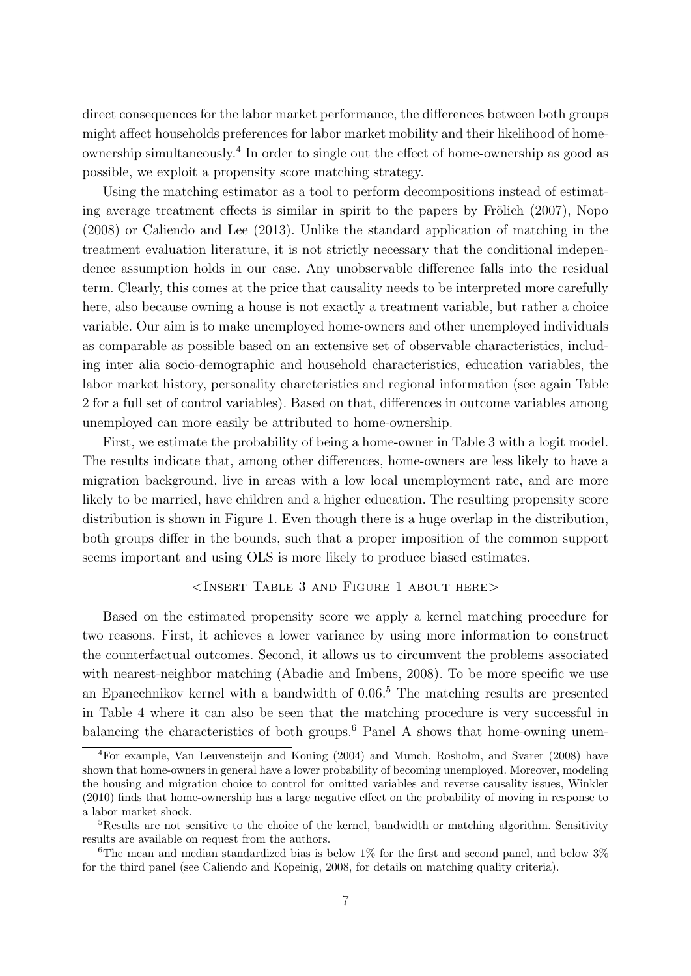direct consequences for the labor market performance, the differences between both groups might affect households preferences for labor market mobility and their likelihood of homeownership simultaneously.<sup>4</sup> In order to single out the effect of home-ownership as good as possible, we exploit a propensity score matching strategy.

Using the matching estimator as a tool to perform decompositions instead of estimating average treatment effects is similar in spirit to the papers by Frölich  $(2007)$ , Nopo (2008) or Caliendo and Lee (2013). Unlike the standard application of matching in the treatment evaluation literature, it is not strictly necessary that the conditional independence assumption holds in our case. Any unobservable difference falls into the residual term. Clearly, this comes at the price that causality needs to be interpreted more carefully here, also because owning a house is not exactly a treatment variable, but rather a choice variable. Our aim is to make unemployed home-owners and other unemployed individuals as comparable as possible based on an extensive set of observable characteristics, including inter alia socio-demographic and household characteristics, education variables, the labor market history, personality charcteristics and regional information (see again Table 2 for a full set of control variables). Based on that, differences in outcome variables among unemployed can more easily be attributed to home-ownership.

First, we estimate the probability of being a home-owner in Table 3 with a logit model. The results indicate that, among other differences, home-owners are less likely to have a migration background, live in areas with a low local unemployment rate, and are more likely to be married, have children and a higher education. The resulting propensity score distribution is shown in Figure 1. Even though there is a huge overlap in the distribution, both groups differ in the bounds, such that a proper imposition of the common support seems important and using OLS is more likely to produce biased estimates.

#### <Insert Table 3 and Figure 1 about here>

Based on the estimated propensity score we apply a kernel matching procedure for two reasons. First, it achieves a lower variance by using more information to construct the counterfactual outcomes. Second, it allows us to circumvent the problems associated with nearest-neighbor matching (Abadie and Imbens, 2008). To be more specific we use an Epanechnikov kernel with a bandwidth of 0.06.<sup>5</sup> The matching results are presented in Table 4 where it can also be seen that the matching procedure is very successful in balancing the characteristics of both groups.<sup>6</sup> Panel A shows that home-owning unem-

<sup>4</sup>For example, Van Leuvensteijn and Koning (2004) and Munch, Rosholm, and Svarer (2008) have shown that home-owners in general have a lower probability of becoming unemployed. Moreover, modeling the housing and migration choice to control for omitted variables and reverse causality issues, Winkler (2010) finds that home-ownership has a large negative effect on the probability of moving in response to a labor market shock.

<sup>&</sup>lt;sup>5</sup>Results are not sensitive to the choice of the kernel, bandwidth or matching algorithm. Sensitivity results are available on request from the authors.

<sup>&</sup>lt;sup>6</sup>The mean and median standardized bias is below  $1\%$  for the first and second panel, and below  $3\%$ for the third panel (see Caliendo and Kopeinig, 2008, for details on matching quality criteria).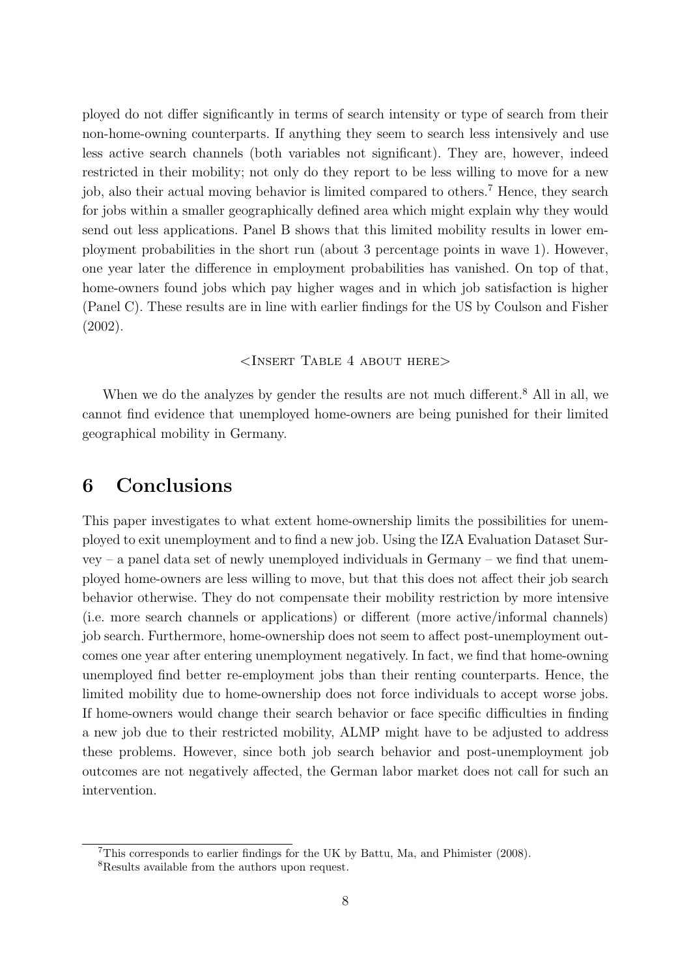ployed do not differ significantly in terms of search intensity or type of search from their non-home-owning counterparts. If anything they seem to search less intensively and use less active search channels (both variables not significant). They are, however, indeed restricted in their mobility; not only do they report to be less willing to move for a new job, also their actual moving behavior is limited compared to others.<sup>7</sup> Hence, they search for jobs within a smaller geographically defined area which might explain why they would send out less applications. Panel B shows that this limited mobility results in lower employment probabilities in the short run (about 3 percentage points in wave 1). However, one year later the difference in employment probabilities has vanished. On top of that, home-owners found jobs which pay higher wages and in which job satisfaction is higher (Panel C). These results are in line with earlier findings for the US by Coulson and Fisher (2002).

#### <Insert Table 4 about here>

When we do the analyzes by gender the results are not much different.<sup>8</sup> All in all, we cannot find evidence that unemployed home-owners are being punished for their limited geographical mobility in Germany.

#### 6 Conclusions

This paper investigates to what extent home-ownership limits the possibilities for unemployed to exit unemployment and to find a new job. Using the IZA Evaluation Dataset Survey – a panel data set of newly unemployed individuals in Germany – we find that unemployed home-owners are less willing to move, but that this does not affect their job search behavior otherwise. They do not compensate their mobility restriction by more intensive (i.e. more search channels or applications) or different (more active/informal channels) job search. Furthermore, home-ownership does not seem to affect post-unemployment outcomes one year after entering unemployment negatively. In fact, we find that home-owning unemployed find better re-employment jobs than their renting counterparts. Hence, the limited mobility due to home-ownership does not force individuals to accept worse jobs. If home-owners would change their search behavior or face specific difficulties in finding a new job due to their restricted mobility, ALMP might have to be adjusted to address these problems. However, since both job search behavior and post-unemployment job outcomes are not negatively affected, the German labor market does not call for such an intervention.

<sup>7</sup>This corresponds to earlier findings for the UK by Battu, Ma, and Phimister (2008).

<sup>8</sup>Results available from the authors upon request.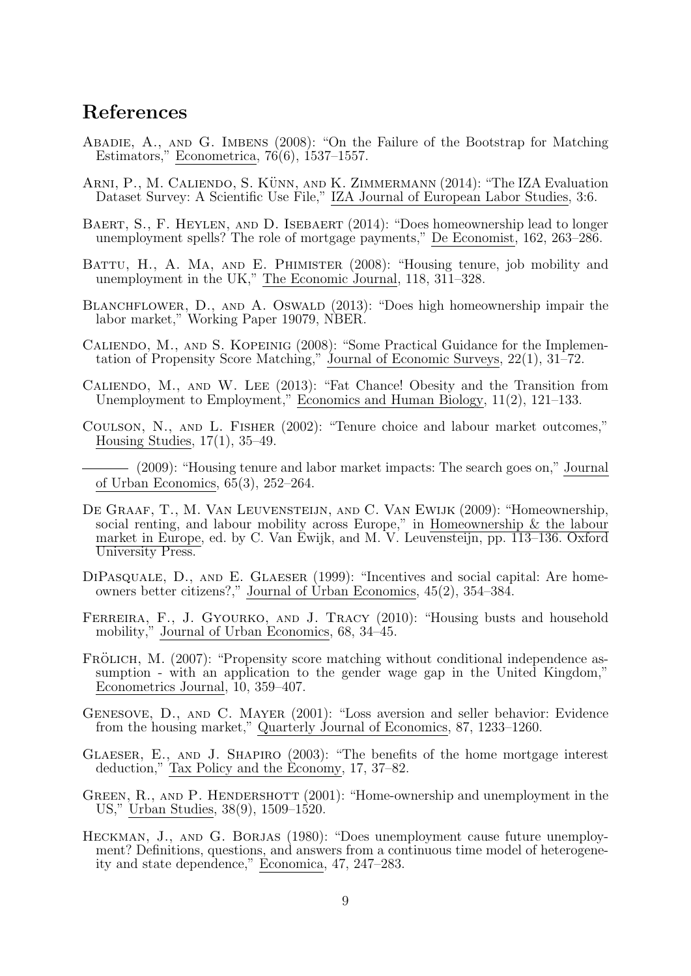### References

- Abadie, A., and G. Imbens (2008): "On the Failure of the Bootstrap for Matching Estimators," Econometrica, 76(6), 1537–1557.
- ARNI, P., M. CALIENDO, S. KÜNN, AND K. ZIMMERMANN (2014): "The IZA Evaluation Dataset Survey: A Scientific Use File," IZA Journal of European Labor Studies, 3:6.
- BAERT, S., F. HEYLEN, AND D. ISEBAERT (2014): "Does homeownership lead to longer unemployment spells? The role of mortgage payments," De Economist, 162, 263–286.
- BATTU, H., A. MA, AND E. PHIMISTER (2008): "Housing tenure, job mobility and unemployment in the UK," The Economic Journal, 118, 311–328.
- BLANCHFLOWER, D., AND A. OSWALD (2013): "Does high homeownership impair the labor market," Working Paper 19079, NBER.
- Caliendo, M., and S. Kopeinig (2008): "Some Practical Guidance for the Implementation of Propensity Score Matching," Journal of Economic Surveys, 22(1), 31–72.
- Caliendo, M., and W. Lee (2013): "Fat Chance! Obesity and the Transition from Unemployment to Employment," Economics and Human Biology, 11(2), 121–133.
- Coulson, N., and L. Fisher (2002): "Tenure choice and labour market outcomes," Housing Studies, 17(1), 35–49.
- (2009): "Housing tenure and labor market impacts: The search goes on," Journal of Urban Economics, 65(3), 252–264.
- DE GRAAF, T., M. VAN LEUVENSTEIJN, AND C. VAN EWIJK (2009): "Homeownership, social renting, and labour mobility across Europe," in Homeownership & the labour market in Europe, ed. by C. Van Ewijk, and M. V. Leuvensteijn, pp. 113–136. Oxford University Press.
- DIPASQUALE, D., AND E. GLAESER (1999): "Incentives and social capital: Are homeowners better citizens?," Journal of Urban Economics, 45(2), 354–384.
- FERREIRA, F., J. GYOURKO, AND J. TRACY (2010): "Housing busts and household mobility," Journal of Urban Economics, 68, 34–45.
- FRÖLICH, M. (2007): "Propensity score matching without conditional independence assumption - with an application to the gender wage gap in the United Kingdom," Econometrics Journal, 10, 359–407.
- Genesove, D., and C. Mayer (2001): "Loss aversion and seller behavior: Evidence from the housing market," Quarterly Journal of Economics, 87, 1233–1260.
- Glaeser, E., and J. Shapiro (2003): "The benefits of the home mortgage interest deduction," Tax Policy and the Economy, 17, 37–82.
- GREEN, R., AND P. HENDERSHOTT (2001): "Home-ownership and unemployment in the US," Urban Studies, 38(9), 1509–1520.
- Heckman, J., and G. Borjas (1980): "Does unemployment cause future unemployment? Definitions, questions, and answers from a continuous time model of heterogeneity and state dependence," Economica, 47, 247–283.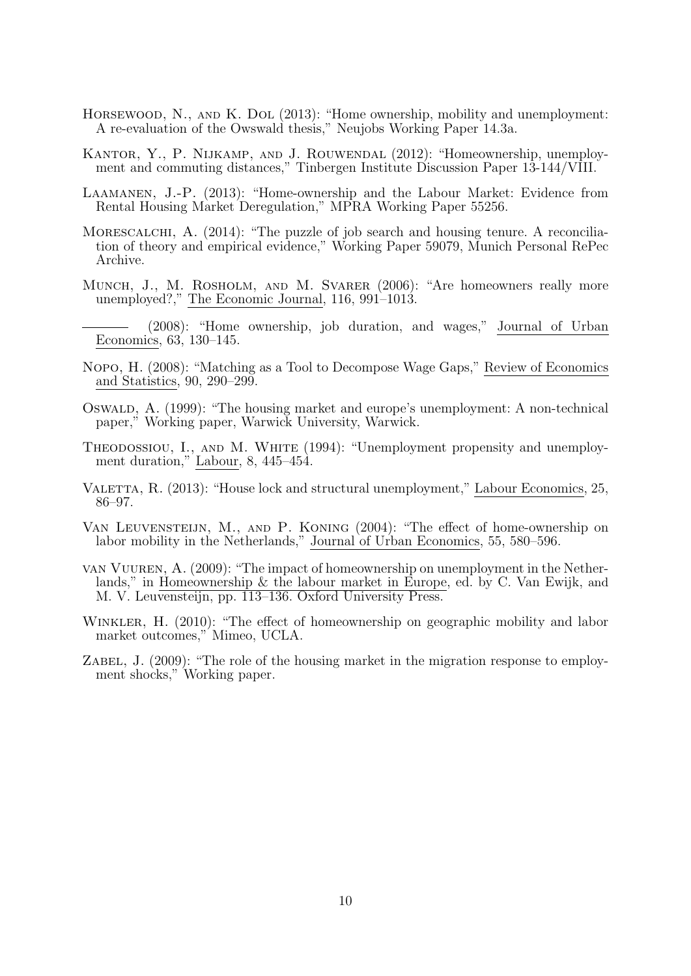- HORSEWOOD, N., AND K. DOL (2013): "Home ownership, mobility and unemployment: A re-evaluation of the Owswald thesis," Neujobs Working Paper 14.3a.
- Kantor, Y., P. Nijkamp, and J. Rouwendal (2012): "Homeownership, unemployment and commuting distances," Tinbergen Institute Discussion Paper 13-144/VIII.
- Laamanen, J.-P. (2013): "Home-ownership and the Labour Market: Evidence from Rental Housing Market Deregulation," MPRA Working Paper 55256.
- MORESCALCHI, A. (2014): "The puzzle of job search and housing tenure. A reconciliation of theory and empirical evidence," Working Paper 59079, Munich Personal RePec Archive.
- MUNCH, J., M. ROSHOLM, AND M. SVARER (2006): "Are homeowners really more unemployed?," The Economic Journal, 116, 991–1013.
- (2008): "Home ownership, job duration, and wages," Journal of Urban Economics, 63, 130–145.
- Nopo, H. (2008): "Matching as a Tool to Decompose Wage Gaps," Review of Economics and Statistics, 90, 290–299.
- Oswald, A. (1999): "The housing market and europe's unemployment: A non-technical paper," Working paper, Warwick University, Warwick.
- THEODOSSIOU, I., AND M. WHITE (1994): "Unemployment propensity and unemployment duration," Labour, 8, 445–454.
- VALETTA, R. (2013): "House lock and structural unemployment," Labour Economics, 25, 86–97.
- Van Leuvensteijn, M., and P. Koning (2004): "The effect of home-ownership on labor mobility in the Netherlands," Journal of Urban Economics, 55, 580–596.
- van Vuuren, A. (2009): "The impact of homeownership on unemployment in the Netherlands," in Homeownership & the labour market in Europe, ed. by C. Van Ewijk, and M. V. Leuvensteijn, pp. 113–136. Oxford University Press.
- WINKLER, H. (2010): "The effect of homeownership on geographic mobility and labor market outcomes," Mimeo, UCLA.
- ZABEL, J.  $(2009)$ : "The role of the housing market in the migration response to employment shocks," Working paper.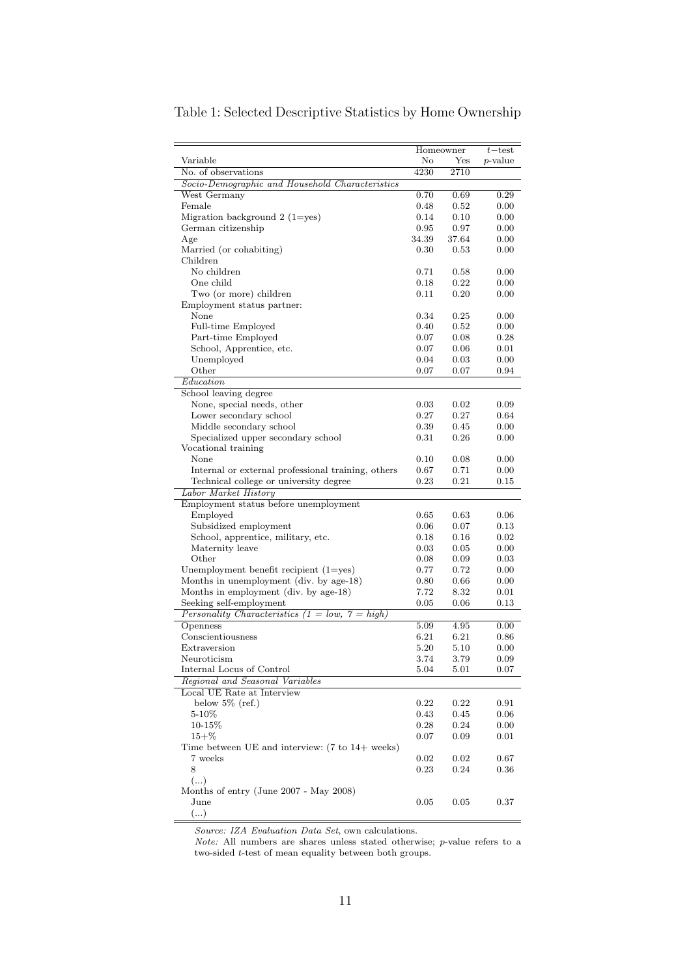|                                                                     | Homeowner |           |                 |
|---------------------------------------------------------------------|-----------|-----------|-----------------|
|                                                                     |           |           | $t$ – test      |
| Variable                                                            | No        | Yes       | <i>p</i> -value |
| No. of observations                                                 | 4230      | 2710      |                 |
| Socio-Demographic and Household Characteristics                     |           |           |                 |
| West Germany                                                        | 0.70      | 0.69      | 0.29            |
| Female                                                              | 0.48      | 0.52      | 0.00            |
| Migration background $2(1=yes)$                                     | 0.14      | 0.10      | 0.00            |
| German citizenship                                                  | 0.95      | 0.97      | 0.00            |
| Age                                                                 | 34.39     | 37.64     | 0.00            |
| Married (or cohabiting)                                             | 0.30      | 0.53      | 0.00            |
| Children                                                            |           |           |                 |
| No children                                                         |           |           |                 |
| One child                                                           | 0.71      | 0.58      | 0.00            |
|                                                                     | 0.18      | 0.22      | 0.00            |
| Two (or more) children                                              | 0.11      | 0.20      | 0.00            |
| Employment status partner:                                          |           |           |                 |
| None                                                                | 0.34      | 0.25      | 0.00            |
| Full-time Employed                                                  | 0.40      | 0.52      | 0.00            |
| Part-time Employed                                                  | 0.07      | 0.08      | 0.28            |
| School, Apprentice, etc.                                            | 0.07      | 0.06      | 0.01            |
| Unemployed                                                          | 0.04      | 0.03      | 0.00            |
| Other                                                               | 0.07      | 0.07      | 0.94            |
| Education                                                           |           |           |                 |
| School leaving degree                                               |           |           |                 |
| None, special needs, other                                          | 0.03      | 0.02      | 0.09            |
| Lower secondary school                                              | 0.27      | 0.27      | 0.64            |
| Middle secondary school                                             | 0.39      | 0.45      | 0.00            |
|                                                                     |           |           |                 |
| Specialized upper secondary school                                  | 0.31      | 0.26      | 0.00            |
| Vocational training                                                 |           |           |                 |
| None                                                                | 0.10      | 0.08      | 0.00            |
| Internal or external professional training, others                  | 0.67      | 0.71      | 0.00            |
| Technical college or university degree                              | 0.23      | 0.21      | 0.15            |
| Labor Market History                                                |           |           |                 |
| Employment status before unemployment                               |           |           |                 |
| Employed                                                            | 0.65      | 0.63      | 0.06            |
| Subsidized employment                                               | 0.06      | 0.07      | 0.13            |
| School, apprentice, military, etc.                                  | 0.18      | 0.16      | $\rm 0.02$      |
| Maternity leave                                                     | 0.03      | 0.05      | 0.00            |
| Other                                                               | 0.08      | 0.09      | 0.03            |
| Unemployment benefit recipient $(1 = yes)$                          | 0.77      | 0.72      | 0.00            |
| Months in unemployment (div. by age-18)                             | 0.80      | 0.66      | 0.00            |
| Months in employment (div. by age-18)                               | 7.72      | 8.32      | 0.01            |
|                                                                     |           | 0.06      |                 |
| Seeking self-employment                                             | 0.05      |           | 0.13            |
| Personality Characteristics (1 = low, 7 = high)                     |           |           |                 |
| Openness                                                            | 5.09      | 4.95      | 0.00            |
| Conscientiousness                                                   | 6.21      | 6.21      | 0.86            |
| Extraversion                                                        | 5.20      | 5.10      | 0.00            |
| Neuroticism                                                         | 3.74      | 3.79      | 0.09            |
| Internal Locus of Control                                           | 5.04      | $_{5.01}$ | 0.07            |
| Regional and Seasonal Variables                                     |           |           |                 |
| Local UE Rate at Interview                                          |           |           |                 |
| below $5\%$ (ref.)                                                  | 0.22      | 0.22      | 0.91            |
| $5 - 10\%$                                                          | 0.43      | 0.45      | 0.06            |
| 10-15%                                                              | 0.28      | 0.24      | 0.00            |
| $15 + \%$                                                           | 0.07      | 0.09      | 0.01            |
| Time between UE and interview: $(7 \text{ to } 14 + \text{ weeks})$ |           |           |                 |
| 7 weeks                                                             |           |           |                 |
|                                                                     | 0.02      | 0.02      | 0.67            |
| 8                                                                   | 0.23      | 0.24      | 0.36            |
| ()                                                                  |           |           |                 |
| Months of entry (June 2007 - May 2008)                              |           |           |                 |
| $_{\rm June}$                                                       | 0.05      | 0.05      | 0.37            |
| ()                                                                  |           |           |                 |

#### Table 1: Selected Descriptive Statistics by Home Ownership

Source: IZA Evaluation Data Set, own calculations.

Note: All numbers are shares unless stated otherwise; p-value refers to a two-sided  $t\text{-test}$  of mean equality between both groups.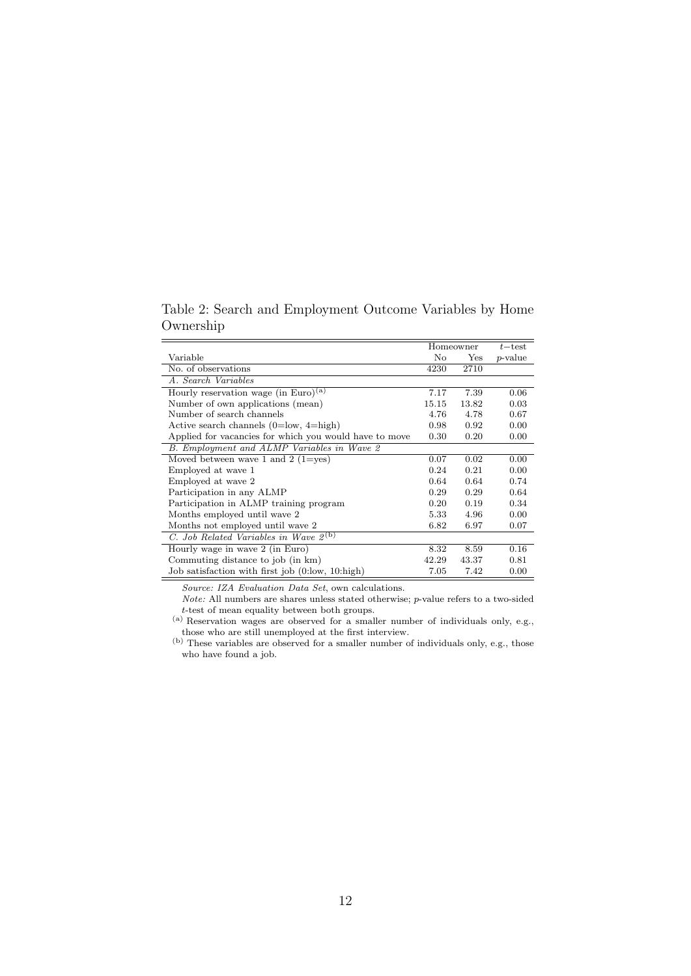Table 2: Search and Employment Outcome Variables by Home Ownership

|                                                        | Homeowner | $t$ – test |                 |
|--------------------------------------------------------|-----------|------------|-----------------|
| Variable                                               | No        | Yes        | <i>p</i> -value |
| No. of observations                                    | 4230      | 2710       |                 |
| A. Search Variables                                    |           |            |                 |
| Hourly reservation wage (in Euro) <sup>(a)</sup>       | 7.17      | 7.39       | 0.06            |
| Number of own applications (mean)                      |           | 13.82      | 0.03            |
| Number of search channels                              |           | 4.78       | 0.67            |
| Active search channels $(0=low, 4=high)$               | 0.98      | 0.92       | 0.00            |
| Applied for vacancies for which you would have to move | 0.30      | 0.20       | 0.00            |
| B. Employment and ALMP Variables in Wave 2             |           |            |                 |
| Moved between wave 1 and 2 (1=yes)                     | 0.07      | 0.02       | 0.00            |
| Employed at wave 1                                     | 0.24      | 0.21       | 0.00            |
| Employed at wave 2                                     | 0.64      | 0.64       | 0.74            |
| Participation in any ALMP                              | 0.29      | 0.29       | 0.64            |
| Participation in ALMP training program                 |           | 0.19       | 0.34            |
| Months employed until wave 2                           |           | 4.96       | 0.00            |
| Months not employed until wave 2                       |           | 6.97       | 0.07            |
| C. Job Related Variables in Wave $2^{(b)}$             |           |            |                 |
| Hourly wage in wave 2 (in Euro)                        | 8.32      | 8.59       | 0.16            |
| Commuting distance to job (in km)                      | 42.29     | 43.37      | 0.81            |
| Job satisfaction with first job (0.low, 10.high)       | 7.05      | 7.42       | 0.00            |

Source: IZA Evaluation Data Set, own calculations.

 $\emph{Note:}$  All numbers are shares unless stated otherwise;  $p\text{-value refers to a two-sided}$ t-test of mean equality between both groups.

(a) Reservation wages are observed for a smaller number of individuals only, e.g., those who are still unemployed at the first interview.

<sup>(</sup>b) These variables are observed for a smaller number of individuals only, e.g., those who have found a job.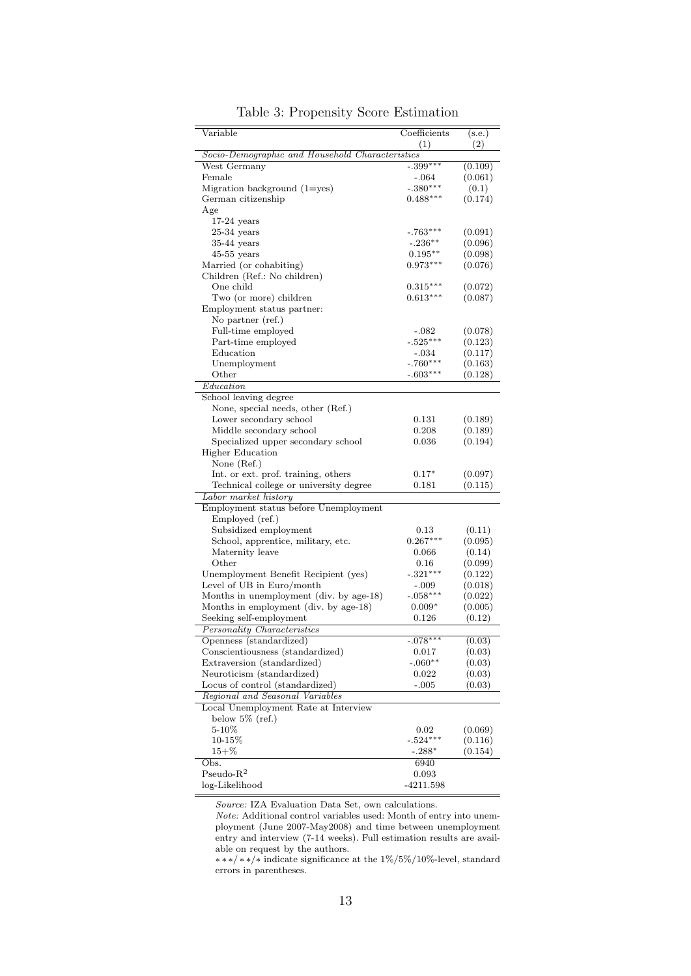| Variable                                        | Coefficients | (s.e.)  |  |
|-------------------------------------------------|--------------|---------|--|
|                                                 | (1)          | (2)     |  |
| Socio-Demographic and Household Characteristics |              |         |  |
| West Germany                                    | $-.399***$   | (0.109) |  |
| Female                                          | -.064        | (0.061) |  |
| Migration background $(1 = yes)$                | $-.380***$   | (0.1)   |  |
| German citizenship                              | $0.488***$   | (0.174) |  |
| Age                                             |              |         |  |
| $17-24$ years                                   |              |         |  |
| $25-34$ years                                   | $-.763***$   | (0.091) |  |
| $35-44$ years                                   | $-.236***$   | (0.096) |  |
| $45-55$ years                                   | $0.195***$   | (0.098) |  |
| Married (or cohabiting)                         | $0.973***$   | (0.076) |  |
| Children (Ref.: No children)                    |              |         |  |
| One child                                       | $0.315***$   | (0.072) |  |
| Two (or more) children                          | $0.613***$   | (0.087) |  |
| Employment status partner:                      |              |         |  |
| No partner (ref.)                               |              |         |  |
| Full-time employed                              | $-.082$      | (0.078) |  |
| Part-time employed                              | $-.525***$   | (0.123) |  |
| Education                                       | -.034        | (0.117) |  |
| Unemployment                                    | -.760***     | (0.163) |  |
| Other                                           | $-.603***$   | (0.128) |  |
| Education                                       |              |         |  |
| School leaving degree                           |              |         |  |
| None, special needs, other (Ref.)               |              |         |  |
| Lower secondary school                          | 0.131        | (0.189) |  |
| Middle secondary school                         | 0.208        | (0.189) |  |
| Specialized upper secondary school              | 0.036        | (0.194) |  |
| <b>Higher Education</b>                         |              |         |  |
| None $(Ref.)$                                   |              |         |  |
| Int. or ext. prof. training, others             | $0.17*$      | (0.097) |  |
| Technical college or university degree          | 0.181        | (0.115) |  |
| Labor market history                            |              |         |  |
| Employment status before Unemployment           |              |         |  |
| Employed (ref.)                                 |              |         |  |
| Subsidized employment                           | 0.13         | (0.11)  |  |
| School, apprentice, military, etc.              | $0.267***$   | (0.095) |  |
| Maternity leave                                 | 0.066        | (0.14)  |  |
| $\rm Other$                                     | 0.16         | (0.099) |  |
| Unemployment Benefit Recipient (yes)            | $-.321***$   | (0.122) |  |
| Level of UB in Euro/month                       | -.009        | (0.018) |  |
| Months in unemployment (div. by age-18)         | $-.058***$   | (0.022) |  |
| Months in employment (div. by age-18)           | $0.009*$     | (0.005) |  |
| Seeking self-employment                         | 0.126        | (0.12)  |  |
| Personality Characteristics                     |              |         |  |
| Openness (standardized)                         | $-.078***$   | (0.03)  |  |
| Conscientiousness (standardized)                | 0.017        | (0.03)  |  |
| Extraversion (standardized)                     | $-.060**$    | (0.03)  |  |
| Neuroticism (standardized)                      | 0.022        | (0.03)  |  |
| Locus of control (standardized)                 | $-.005$      | (0.03)  |  |
| Regional and Seasonal Variables                 |              |         |  |
| Local Unemployment Rate at Interview            |              |         |  |
| below $5\%$ (ref.)                              |              |         |  |
| $5 - 10\%$                                      | 0.02         | (0.069) |  |
| $10 - 15\%$                                     | $-.524***$   | (0.116) |  |
| $15 + \%$                                       | $-.288*$     | (0.154) |  |
| Obs.                                            | 6940         |         |  |
| $Pseudo-R2$                                     | 0.093        |         |  |
| log-Likelihood                                  | -4211.598    |         |  |

Table 3: Propensity Score Estimation

Source: IZA Evaluation Data Set, own calculations.

Note: Additional control variables used: Month of entry into unemployment (June 2007-May2008) and time between unemployment entry and interview (7-14 weeks). Full estimation results are available on request by the authors.

∗ ∗ ∗/ ∗ ∗/∗ indicate significance at the 1%/5%/10%-level, standard errors in parentheses.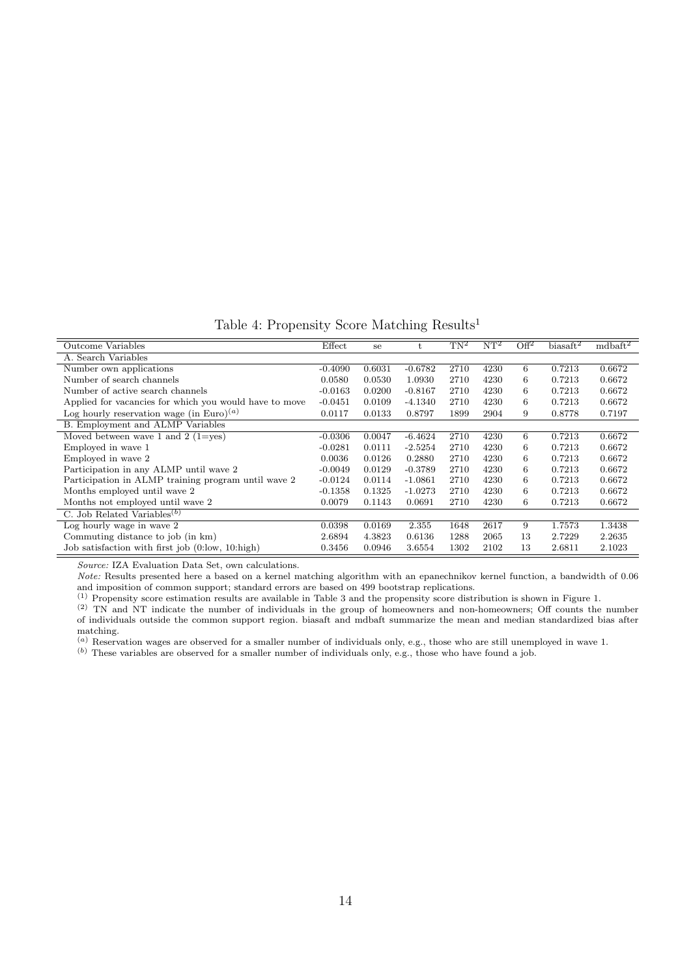Table 4: Propensity Score Matching Results<sup>1</sup>

| Outcome Variables                                      | Effect    | se     | t         | $TN^2$ | $NT^2$ | $\overline{Off^2}$ | $bias$ aft <sup>2</sup> | mdbaft <sup>2</sup> |
|--------------------------------------------------------|-----------|--------|-----------|--------|--------|--------------------|-------------------------|---------------------|
| A. Search Variables                                    |           |        |           |        |        |                    |                         |                     |
| Number own applications                                | $-0.4090$ | 0.6031 | $-0.6782$ | 2710   | 4230   | 6                  | 0.7213                  | 0.6672              |
| Number of search channels                              | 0.0580    | 0.0530 | 1.0930    | 2710   | 4230   | 6                  | 0.7213                  | 0.6672              |
| Number of active search channels                       | $-0.0163$ | 0.0200 | $-0.8167$ | 2710   | 4230   | 6                  | 0.7213                  | 0.6672              |
| Applied for vacancies for which you would have to move | $-0.0451$ | 0.0109 | $-4.1340$ | 2710   | 4230   | 6                  | 0.7213                  | 0.6672              |
| Log hourly reservation wage (in Euro) <sup>(a)</sup>   | 0.0117    | 0.0133 | 0.8797    | 1899   | 2904   | 9                  | 0.8778                  | 0.7197              |
| <b>B.</b> Employment and ALMP Variables                |           |        |           |        |        |                    |                         |                     |
| Moved between wave 1 and 2 (1=yes)                     | $-0.0306$ | 0.0047 | $-6.4624$ | 2710   | 4230   | 6                  | 0.7213                  | 0.6672              |
| Employed in wave 1                                     | $-0.0281$ | 0.0111 | $-2.5254$ | 2710   | 4230   | 6                  | 0.7213                  | 0.6672              |
| Employed in wave 2                                     | 0.0036    | 0.0126 | 0.2880    | 2710   | 4230   | 6                  | 0.7213                  | 0.6672              |
| Participation in any ALMP until wave 2                 | $-0.0049$ | 0.0129 | $-0.3789$ | 2710   | 4230   | 6                  | 0.7213                  | 0.6672              |
| Participation in ALMP training program until wave 2    | $-0.0124$ | 0.0114 | $-1.0861$ | 2710   | 4230   | 6                  | 0.7213                  | 0.6672              |
| Months employed until wave 2                           | $-0.1358$ | 0.1325 | $-1.0273$ | 2710   | 4230   | 6                  | 0.7213                  | 0.6672              |
| Months not employed until wave 2                       | 0.0079    | 0.1143 | 0.0691    | 2710   | 4230   | 6                  | 0.7213                  | 0.6672              |
| C. Job Related Variables <sup>(b)</sup>                |           |        |           |        |        |                    |                         |                     |
| Log hourly wage in wave 2                              | 0.0398    | 0.0169 | 2.355     | 1648   | 2617   | 9                  | 1.7573                  | 1.3438              |
| Commuting distance to job (in km)                      | 2.6894    | 4.3823 | 0.6136    | 1288   | 2065   | 13                 | 2.7229                  | 2.2635              |
| Job satisfaction with first job (0:low, 10:high)       | 0.3456    | 0.0946 | 3.6554    | 1302   | 2102   | 13                 | 2.6811                  | 2.1023              |

Source: IZA Evaluation Data Set, own calculations.

Note: Results presented here a based on a kernel matching algorithm with an epanechnikov kernel function, a bandwidth of 0.06 and imposition of common support; standard errors are based on 499 bootstrap replications.

 $<sup>(1)</sup>$  Propensity score estimation results are available in Table 3 and the propensity score distribution is shown in Figure 1.</sup>

(2) TN and NT indicate the number of individuals in the group of homeowners and non-homeowners; Off counts the number of individuals outside the common support region. biasaft and mdbaft summarize the mean and median standardized bias after matching.

 $(a)$  Reservation wages are observed for a smaller number of individuals only, e.g., those who are still unemployed in wave 1.

(b) These variables are observed for a smaller number of individuals only, e.g., those who have found a job.